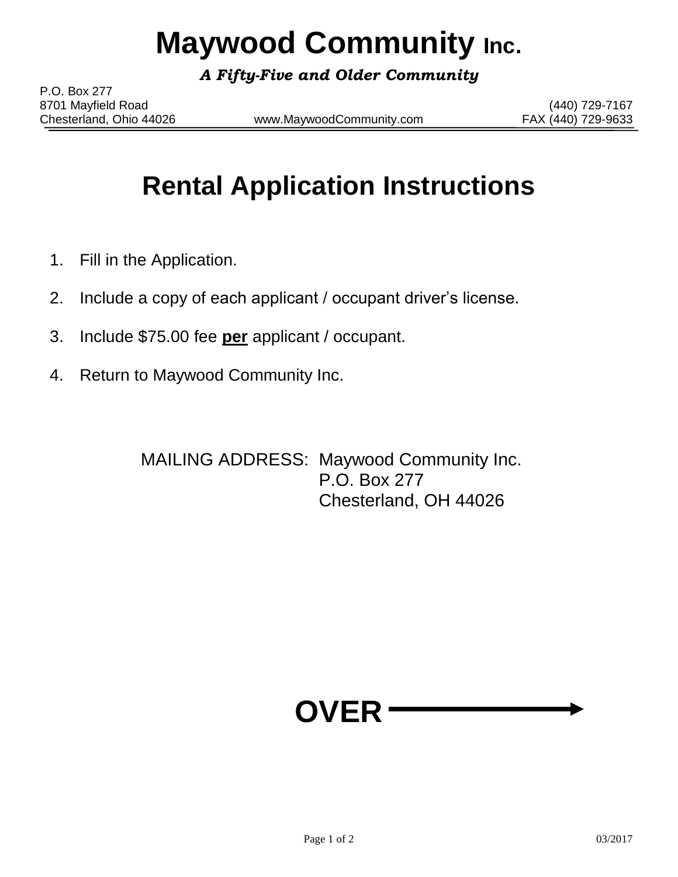# **Maywood Community Inc.**

*A Fifty-Five and Older Community*

P.O. Box 277 8701 Mayfield Road (440) 729-7167

Chesterland, Ohio 44026 www.MaywoodCommunity.com FAX (440) 729-9633

## **Rental Application Instructions**

- 1. Fill in the Application.
- 2. Include a copy of each applicant / occupant driver's license.
- 3. Include \$75.00 fee **per** applicant / occupant.
- 4. Return to Maywood Community Inc.

MAILING ADDRESS: Maywood Community Inc. P.O. Box 277 Chesterland, OH 44026